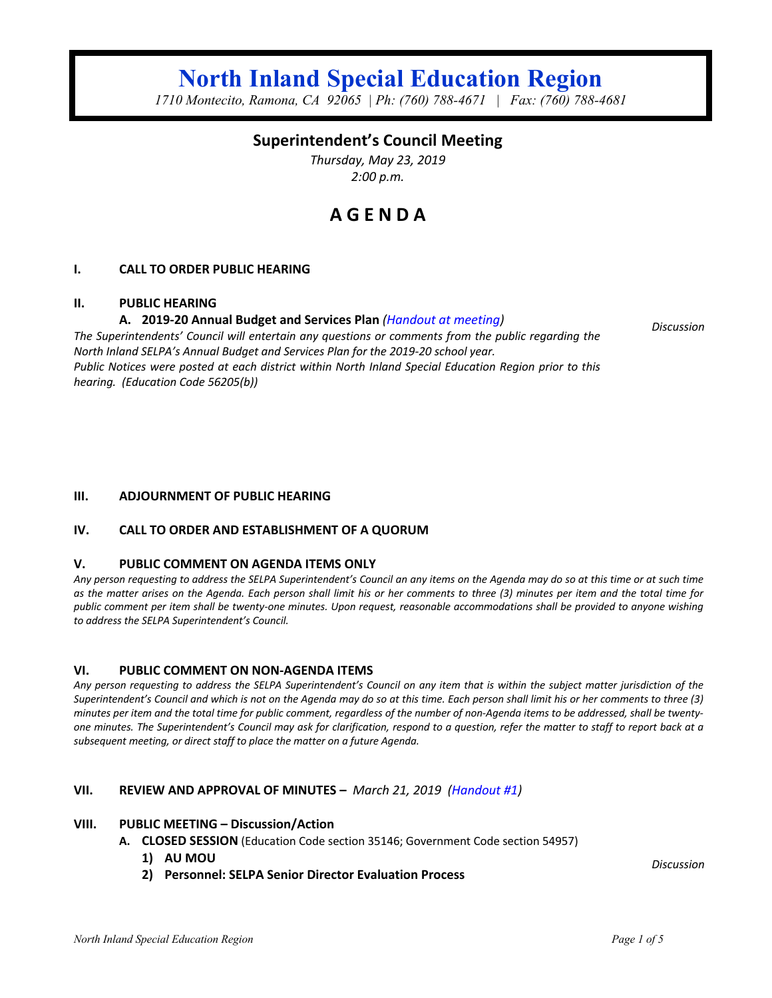# **North Inland Special Education Region**

*1710 Montecito, Ramona, CA 92065 | Ph: (760) 788-4671 | Fax: (760) 788-4681*

## **Superintendent's Council Meeting**

*Thursday, May 23, 2019 2:00 p.m.*

## **A G E N D A**

## **I. CALL TO ORDER PUBLIC HEARING**

## **II. PUBLIC HEARING**

## **A. 2019-20 Annual Budget and Services Plan** *(Handout at meeting)*

*The Superintendents' Council will entertain any questions or comments from the public regarding the North Inland SELPA's Annual Budget and Services Plan for the 2019-20 school year. Public Notices were posted at each district within North Inland Special Education Region prior to this hearing. (Education Code 56205(b))*

## **III. ADJOURNMENT OF PUBLIC HEARING**

## **IV. CALL TO ORDER AND ESTABLISHMENT OF A QUORUM**

## **V. PUBLIC COMMENT ON AGENDA ITEMS ONLY**

*Any person requesting to address the SELPA Superintendent's Council an any items on the Agenda may do so at this time or at such time as the matter arises on the Agenda. Each person shall limit his or her comments to three (3) minutes per item and the total time for public comment per item shall be twenty-one minutes. Upon request, reasonable accommodations shall be provided to anyone wishing to address the SELPA Superintendent's Council.*

## **VI. PUBLIC COMMENT ON NON-AGENDA ITEMS**

*Any person requesting to address the SELPA Superintendent's Council on any item that is within the subject matter jurisdiction of the Superintendent's Council and which is not on the Agenda may do so at this time. Each person shall limit his or her comments to three (3) minutes per item and the total time for public comment, regardless of the number of non-Agenda items to be addressed, shall be twentyone minutes. The Superintendent's Council may ask for clarification, respond to a question, refer the matter to staff to report back at a subsequent meeting, or direct staff to place the matter on a future Agenda.*

## **VII. REVIEW AND APPROVAL OF MINUTES –** *March 21, 2019 (Handout #1)*

## **VIII. PUBLIC MEETING – Discussion/Action**

- **A. CLOSED SESSION** (Education Code section 35146; Government Code section 54957)
	- **1) AU MOU**
	- **2) Personnel: SELPA Senior Director Evaluation Process**

*Discussion*

*Discussion*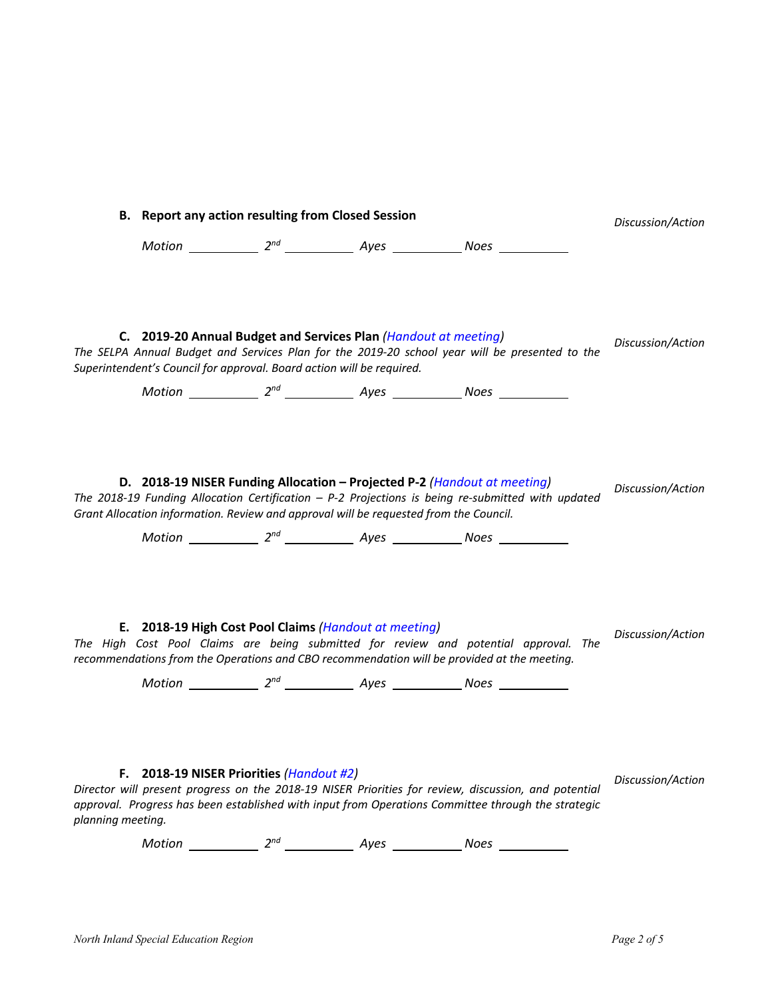| <b>B.</b> Report any action resulting from Closed Session |                                                                                                                                                                   |  |  |                                                                                                                                                                                                                                                                                | Discussion/Action |
|-----------------------------------------------------------|-------------------------------------------------------------------------------------------------------------------------------------------------------------------|--|--|--------------------------------------------------------------------------------------------------------------------------------------------------------------------------------------------------------------------------------------------------------------------------------|-------------------|
|                                                           |                                                                                                                                                                   |  |  |                                                                                                                                                                                                                                                                                |                   |
|                                                           | C. 2019-20 Annual Budget and Services Plan (Handout at meeting)<br>Superintendent's Council for approval. Board action will be required.                          |  |  | The SELPA Annual Budget and Services Plan for the 2019-20 school year will be presented to the                                                                                                                                                                                 | Discussion/Action |
|                                                           | D. 2018-19 NISER Funding Allocation - Projected P-2 (Handout at meeting)<br>Grant Allocation information. Review and approval will be requested from the Council. |  |  | The 2018-19 Funding Allocation Certification $- P-2$ Projections is being re-submitted with updated                                                                                                                                                                            | Discussion/Action |
|                                                           | E. 2018-19 High Cost Pool Claims (Handout at meeting)                                                                                                             |  |  | The High Cost Pool Claims are being submitted for review and potential approval. The<br>recommendations from the Operations and CBO recommendation will be provided at the meeting.                                                                                            | Discussion/Action |
| planning meeting.                                         | F. 2018-19 NISER Priorities (Handout #2)                                                                                                                          |  |  | Director will present progress on the 2018-19 NISER Priorities for review, discussion, and potential<br>approval. Progress has been established with input from Operations Committee through the strategic<br>Motion $2^{nd}$ $2^{nd}$ Ayes $\_\_\_\_\_\$ Noes $\_\_\_\_\_\_\$ | Discussion/Action |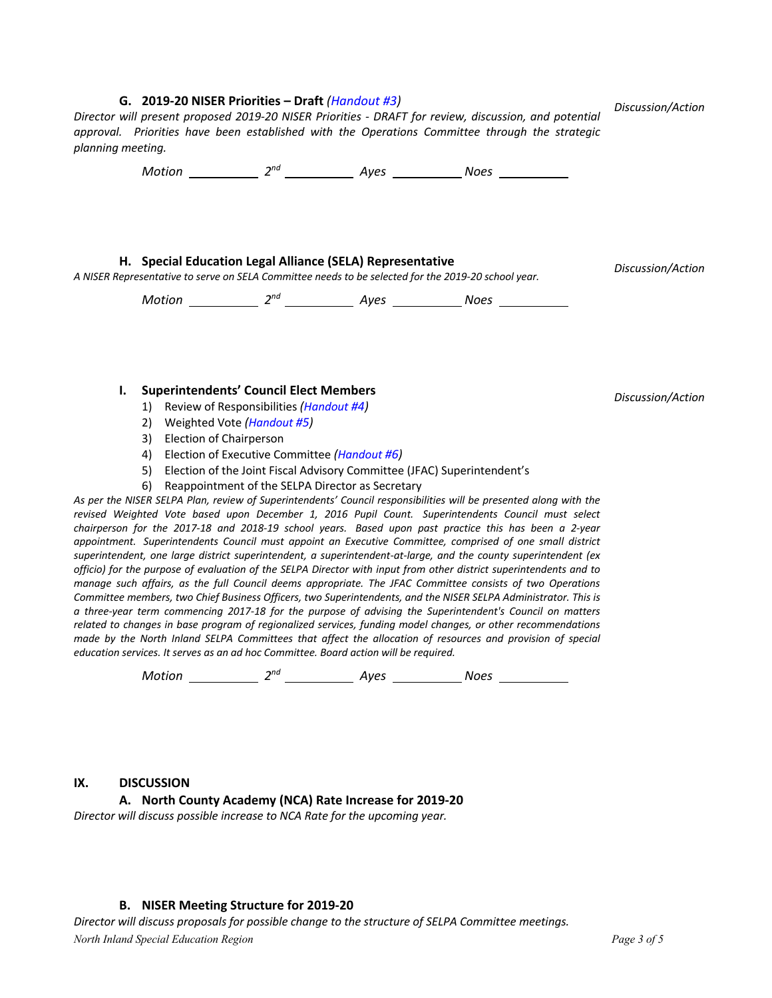#### **G. 2019-20 NISER Priorities – Draft** *(Handout #3)*

*Director will present proposed 2019-20 NISER Priorities - DRAFT for review, discussion, and potential approval. Priorities have been established with the Operations Committee through the strategic planning meeting.*

*Motion* 2<sup>nd</sup> 2<sup>nd</sup> Ayes Noes Noes

#### **H. Special Education Legal Alliance (SELA) Representative**

*A NISER Representative to serve on SELA Committee needs to be selected for the 2019-20 school year. Discussion/Action*

*Motion* 2<sup>nd</sup> 2<sup>nd</sup> 4yes 2008 Noes 2008

#### **I. Superintendents' Council Elect Members**

- 1) Review of Responsibilities *(Handout #4)*
- 2) Weighted Vote *(Handout #5)*
- 3) Election of Chairperson
- 4) Election of Executive Committee *(Handout #6)*
- 5) Election of the Joint Fiscal Advisory Committee (JFAC) Superintendent's
- 6) Reappointment of the SELPA Director as Secretary

*As per the NISER SELPA Plan, review of Superintendents' Council responsibilities will be presented along with the revised Weighted Vote based upon December 1, 2016 Pupil Count. Superintendents Council must select chairperson for the 2017-18 and 2018-19 school years. Based upon past practice this has been a 2-year appointment. Superintendents Council must appoint an Executive Committee, comprised of one small district superintendent, one large district superintendent, a superintendent-at-large, and the county superintendent (ex officio) for the purpose of evaluation of the SELPA Director with input from other district superintendents and to manage such affairs, as the full Council deems appropriate. The JFAC Committee consists of two Operations*  Committee members, two Chief Business Officers, two Superintendents, and the NISER SELPA Administrator. This is *a three-year term commencing 2017-18 for the purpose of advising the Superintendent's Council on matters related to changes in base program of regionalized services, funding model changes, or other recommendations made by the North Inland SELPA Committees that affect the allocation of resources and provision of special education services. It serves as an ad hoc Committee. Board action will be required.*

*Motion 2nd Ayes Noes* 

## **IX. DISCUSSION**

**A. North County Academy (NCA) Rate Increase for 2019-20**

*Director will discuss possible increase to NCA Rate for the upcoming year.*

## **B. NISER Meeting Structure for 2019-20**

*North Inland Special Education Region Page 3 of 5 Director will discuss proposals for possible change to the structure of SELPA Committee meetings.*

- 
- *Discussion/Action*

*Discussion/Action*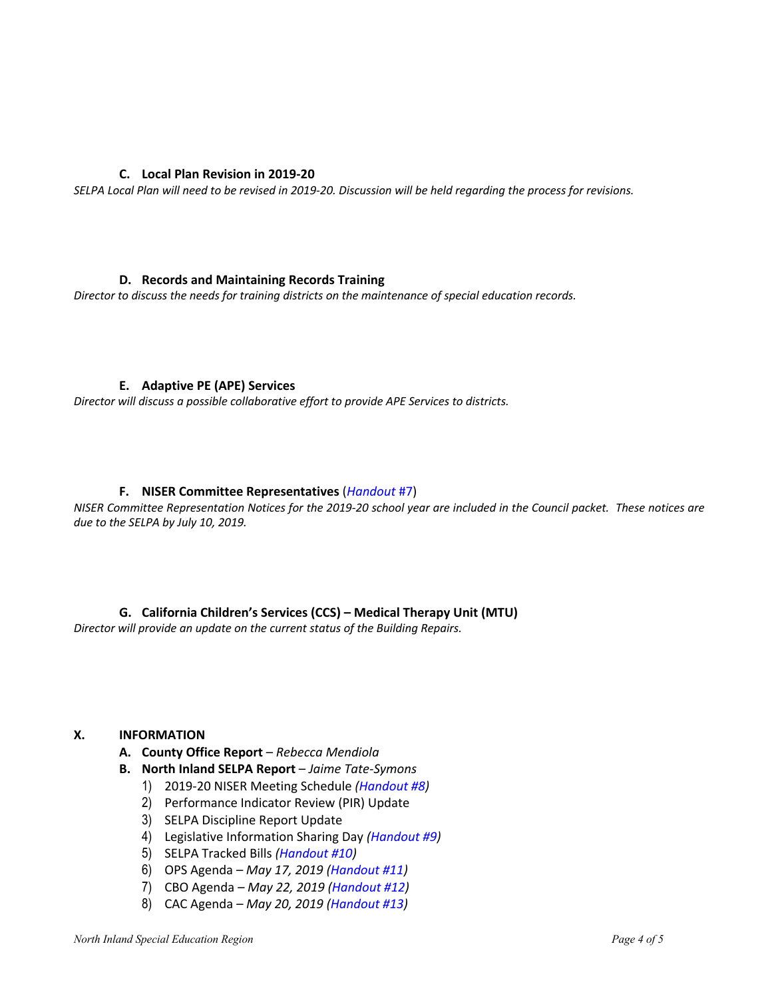## **C. Local Plan Revision in 2019-20**

*SELPA Local Plan will need to be revised in 2019-20. Discussion will be held regarding the process for revisions.*

## **D. Records and Maintaining Records Training**

*Director to discuss the needs for training districts on the maintenance of special education records.*

## **E. Adaptive PE (APE) Services**

*Director will discuss a possible collaborative effort to provide APE Services to districts.*

## **F. NISER Committee Representatives** (*Handout* #7)

*NISER Committee Representation Notices for the 2019-20 school year are included in the Council packet. These notices are due to the SELPA by July 10, 2019.*

**G. California Children's Services (CCS) – Medical Therapy Unit (MTU)**

*Director will provide an update on the current status of the Building Repairs.*

## **X. INFORMATION**

- **A. County Office Report** *Rebecca Mendiola*
- **B. North Inland SELPA Report** *Jaime Tate-Symons*
	- 1) 2019-20 NISER Meeting Schedule *(Handout #8)*
	- 2) Performance Indicator Review (PIR) Update
	- 3) SELPA Discipline Report Update
	- 4) Legislative Information Sharing Day *(Handout #9)*
	- 5) SELPA Tracked Bills *(Handout #10)*
	- 6) OPS Agenda *– May 17, 2019 (Handout #11)*
	- 7) CBO Agenda *– May 22, 2019 (Handout #12)*
	- 8) CAC Agenda *– May 20, 2019 (Handout #13)*